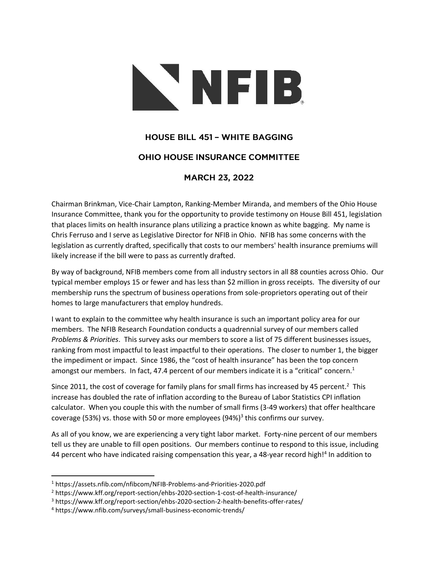

## **HOUSE BILL 451 - WHITE BAGGING**

## **OHIO HOUSE INSURANCE COMMITTEE**

## **MARCH 23, 2022**

Chairman Brinkman, Vice-Chair Lampton, Ranking-Member Miranda, and members of the Ohio House Insurance Committee, thank you for the opportunity to provide testimony on House Bill 451, legislation that places limits on health insurance plans utilizing a practice known as white bagging. My name is Chris Ferruso and I serve as Legislative Director for NFIB in Ohio. NFIB has some concerns with the legislation as currently drafted, specifically that costs to our members' health insurance premiums will likely increase if the bill were to pass as currently drafted.

By way of background, NFIB members come from all industry sectors in all 88 counties across Ohio. Our typical member employs 15 or fewer and has less than \$2 million in gross receipts. The diversity of our membership runs the spectrum of business operations from sole-proprietors operating out of their homes to large manufacturers that employ hundreds.

I want to explain to the committee why health insurance is such an important policy area for our members. The NFIB Research Foundation conducts a quadrennial survey of our members called *Problems & Priorities*. This survey asks our members to score a list of 75 different businesses issues, ranking from most impactful to least impactful to their operations. The closer to number 1, the bigger the impediment or impact. Since 1986, the "cost of health insurance" has been the top concern amongst our members. In fact, 47.4 percent of our members indicate it is a "critical" concern.<sup>1</sup>

Since 2011, the cost of coverage for family plans for small firms has increased by 45 percent.<sup>2</sup> This increase has doubled the rate of inflation according to the Bureau of Labor Statistics CPI inflation calculator. When you couple this with the number of small firms (3-49 workers) that offer healthcare coverage (53%) vs. those with 50 or more employees (94%)<sup>3</sup> this confirms our survey.

As all of you know, we are experiencing a very tight labor market. Forty-nine percent of our members tell us they are unable to fill open positions. Our members continue to respond to this issue, including 44 percent who have indicated raising compensation this year, a 48-year record high!<sup>4</sup> In addition to

<sup>1</sup> https://assets.nfib.com/nfibcom/NFIB-Problems-and-Priorities-2020.pdf

<sup>2</sup> https://www.kff.org/report-section/ehbs-2020-section-1-cost-of-health-insurance/

<sup>3</sup> https://www.kff.org/report-section/ehbs-2020-section-2-health-benefits-offer-rates/

<sup>4</sup> https://www.nfib.com/surveys/small-business-economic-trends/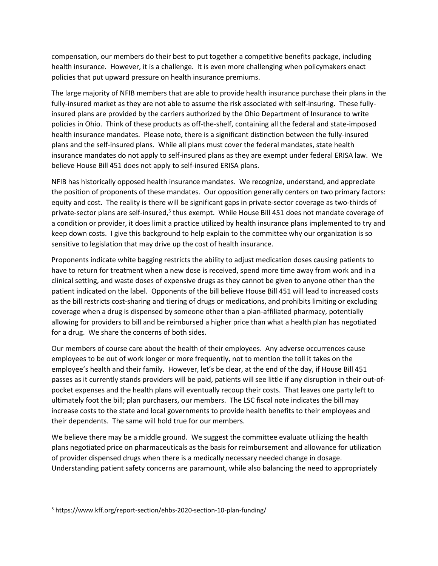compensation, our members do their best to put together a competitive benefits package, including health insurance. However, it is a challenge. It is even more challenging when policymakers enact policies that put upward pressure on health insurance premiums.

The large majority of NFIB members that are able to provide health insurance purchase their plans in the fully-insured market as they are not able to assume the risk associated with self-insuring. These fullyinsured plans are provided by the carriers authorized by the Ohio Department of Insurance to write policies in Ohio. Think of these products as off-the-shelf, containing all the federal and state-imposed health insurance mandates. Please note, there is a significant distinction between the fully-insured plans and the self-insured plans. While all plans must cover the federal mandates, state health insurance mandates do not apply to self-insured plans as they are exempt under federal ERISA law. We believe House Bill 451 does not apply to self-insured ERISA plans.

NFIB has historically opposed health insurance mandates. We recognize, understand, and appreciate the position of proponents of these mandates. Our opposition generally centers on two primary factors: equity and cost. The reality is there will be significant gaps in private-sector coverage as two-thirds of private-sector plans are self-insured,<sup>5</sup> thus exempt. While House Bill 451 does not mandate coverage of a condition or provider, it does limit a practice utilized by health insurance plans implemented to try and keep down costs. I give this background to help explain to the committee why our organization is so sensitive to legislation that may drive up the cost of health insurance.

Proponents indicate white bagging restricts the ability to adjust medication doses causing patients to have to return for treatment when a new dose is received, spend more time away from work and in a clinical setting, and waste doses of expensive drugs as they cannot be given to anyone other than the patient indicated on the label. Opponents of the bill believe House Bill 451 will lead to increased costs as the bill restricts cost-sharing and tiering of drugs or medications, and prohibits limiting or excluding coverage when a drug is dispensed by someone other than a plan-affiliated pharmacy, potentially allowing for providers to bill and be reimbursed a higher price than what a health plan has negotiated for a drug. We share the concerns of both sides.

Our members of course care about the health of their employees. Any adverse occurrences cause employees to be out of work longer or more frequently, not to mention the toll it takes on the employee's health and their family. However, let's be clear, at the end of the day, if House Bill 451 passes as it currently stands providers will be paid, patients will see little if any disruption in their out-ofpocket expenses and the health plans will eventually recoup their costs. That leaves one party left to ultimately foot the bill; plan purchasers, our members. The LSC fiscal note indicates the bill may increase costs to the state and local governments to provide health benefits to their employees and their dependents. The same will hold true for our members.

We believe there may be a middle ground. We suggest the committee evaluate utilizing the health plans negotiated price on pharmaceuticals as the basis for reimbursement and allowance for utilization of provider dispensed drugs when there is a medically necessary needed change in dosage. Understanding patient safety concerns are paramount, while also balancing the need to appropriately

<sup>5</sup> https://www.kff.org/report-section/ehbs-2020-section-10-plan-funding/